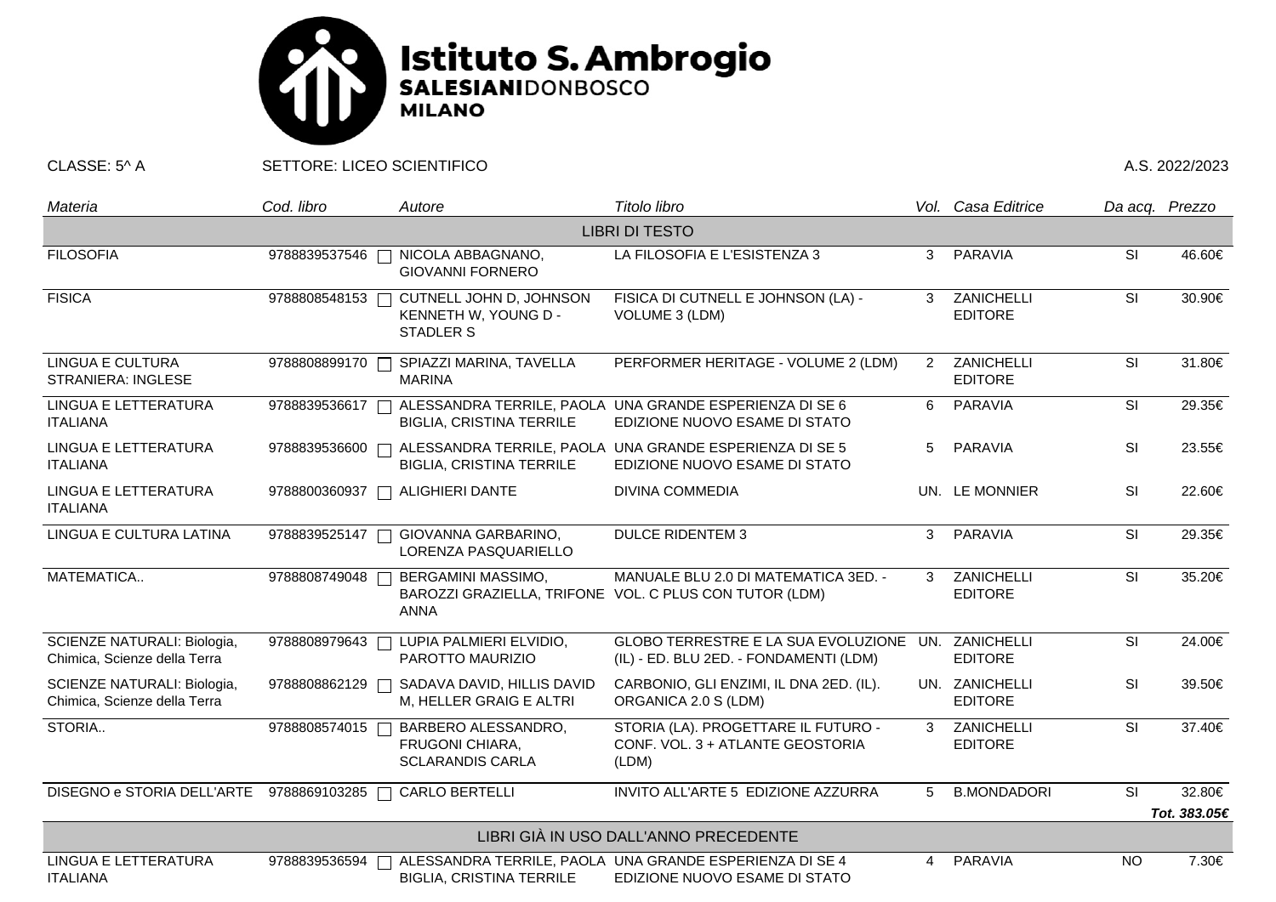

CLASSE: 5^ A SETTORE: LICEO SCIENTIFICO A.S. 2022/2023

| Materia                                                     | Cod. libro    | Autore                                                              | Titolo libro                                                                                   |                | Vol. Casa Editrice               | Da acq. Prezzo                    |              |  |  |  |  |
|-------------------------------------------------------------|---------------|---------------------------------------------------------------------|------------------------------------------------------------------------------------------------|----------------|----------------------------------|-----------------------------------|--------------|--|--|--|--|
| <b>LIBRI DI TESTO</b>                                       |               |                                                                     |                                                                                                |                |                                  |                                   |              |  |  |  |  |
| <b>FILOSOFIA</b>                                            | 9788839537546 | NICOLA ABBAGNANO,<br><b>GIOVANNI FORNERO</b>                        | LA FILOSOFIA E L'ESISTENZA 3                                                                   |                | 3 PARAVIA                        | SI                                | 46.60€       |  |  |  |  |
| <b>FISICA</b>                                               | 9788808548153 | CUTNELL JOHN D, JOHNSON<br>KENNETH W, YOUNG D -<br><b>STADLER S</b> | FISICA DI CUTNELL E JOHNSON (LA) -<br>VOLUME 3 (LDM)                                           | $\mathbf{3}$   | ZANICHELLI<br><b>EDITORE</b>     | SI                                | 30.90€       |  |  |  |  |
| <b>LINGUA E CULTURA</b><br><b>STRANIERA: INGLESE</b>        | 9788808899170 | SPIAZZI MARINA, TAVELLA<br><b>MARINA</b>                            | PERFORMER HERITAGE - VOLUME 2 (LDM)                                                            | $\overline{2}$ | ZANICHELLI<br><b>EDITORE</b>     | SI                                | 31.80€       |  |  |  |  |
| LINGUA E LETTERATURA<br><b>ITALIANA</b>                     | 9788839536617 | <b>BIGLIA, CRISTINA TERRILE</b>                                     | ALESSANDRA TERRILE, PAOLA UNA GRANDE ESPERIENZA DI SE 6<br>EDIZIONE NUOVO ESAME DI STATO       | 6              | PARAVIA                          | SI                                | 29.35€       |  |  |  |  |
| LINGUA E LETTERATURA<br><b>ITALIANA</b>                     | 9788839536600 | <b>BIGLIA, CRISTINA TERRILE</b>                                     | ALESSANDRA TERRILE, PAOLA UNA GRANDE ESPERIENZA DI SE 5<br>EDIZIONE NUOVO ESAME DI STATO       | 5              | PARAVIA                          | SI                                | 23.55€       |  |  |  |  |
| LINGUA E LETTERATURA<br><b>ITALIANA</b>                     | 9788800360937 | <b>ALIGHIERI DANTE</b>                                              | <b>DIVINA COMMEDIA</b>                                                                         |                | UN. LE MONNIER                   | SI                                | 22.60€       |  |  |  |  |
| LINGUA E CULTURA LATINA                                     | 9788839525147 | GIOVANNA GARBARINO,<br>LORENZA PASQUARIELLO                         | <b>DULCE RIDENTEM 3</b>                                                                        |                | 3 PARAVIA                        | SI                                | 29.35€       |  |  |  |  |
| MATEMATICA                                                  | 9788808749048 | BERGAMINI MASSIMO,<br><b>ANNA</b>                                   | MANUALE BLU 2.0 DI MATEMATICA 3ED. -<br>BAROZZI GRAZIELLA, TRIFONE VOL. C PLUS CON TUTOR (LDM) | 3              | ZANICHELLI<br><b>EDITORE</b>     | <b>SI</b>                         | 35.20€       |  |  |  |  |
| SCIENZE NATURALI: Biologia,<br>Chimica, Scienze della Terra | 9788808979643 | LUPIA PALMIERI ELVIDIO,<br>PAROTTO MAURIZIO                         | GLOBO TERRESTRE E LA SUA EVOLUZIONE UN. ZANICHELLI<br>(IL) - ED. BLU 2ED. - FONDAMENTI (LDM)   |                | <b>EDITORE</b>                   | SI                                | 24.00€       |  |  |  |  |
| SCIENZE NATURALI: Biologia,<br>Chimica, Scienze della Terra | 9788808862129 | SADAVA DAVID, HILLIS DAVID<br>M, HELLER GRAIG E ALTRI               | CARBONIO, GLI ENZIMI, IL DNA 2ED. (IL).<br>ORGANICA 2.0 S (LDM)                                |                | UN. ZANICHELLI<br><b>EDITORE</b> | SI                                | 39.50€       |  |  |  |  |
| STORIA                                                      | 9788808574015 | BARBERO ALESSANDRO,<br>FRUGONI CHIARA,<br><b>SCLARANDIS CARLA</b>   | STORIA (LA). PROGETTARE IL FUTURO -<br>CONF. VOL. 3 + ATLANTE GEOSTORIA<br>(LDM)               | 3              | ZANICHELLI<br><b>EDITORE</b>     | <b>SI</b>                         | 37.40€       |  |  |  |  |
| DISEGNO e STORIA DELL'ARTE 9788869103285 □                  |               | <b>CARLO BERTELLI</b>                                               | INVITO ALL'ARTE 5 EDIZIONE AZZURRA                                                             | 5              | <b>B.MONDADORI</b>               | $\overline{\overline{\text{SI}}}$ | 32.80€       |  |  |  |  |
|                                                             |               |                                                                     |                                                                                                |                |                                  |                                   | Tot. 383.05€ |  |  |  |  |
| LIBRI GIÀ IN USO DALL'ANNO PRECEDENTE                       |               |                                                                     |                                                                                                |                |                                  |                                   |              |  |  |  |  |
| LINGUA E LETTERATURA<br><b>ITALIANA</b>                     | 9788839536594 | <b>BIGLIA, CRISTINA TERRILE</b>                                     | ALESSANDRA TERRILE, PAOLA UNA GRANDE ESPERIENZA DI SE 4<br>EDIZIONE NUOVO ESAME DI STATO       | 4              | PARAVIA                          | <b>NO</b>                         | 7.30€        |  |  |  |  |